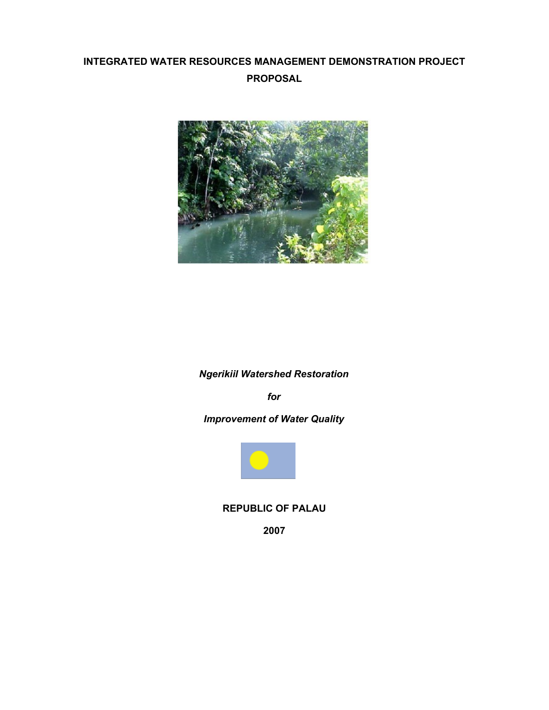# **INTEGRATED WATER RESOURCES MANAGEMENT DEMONSTRATION PROJECT PROPOSAL**



## *Ngerikiil Watershed Restoration*

*for*

# *Improvement of Water Quality*



#### **REPUBLIC OF PALAU**

**2007**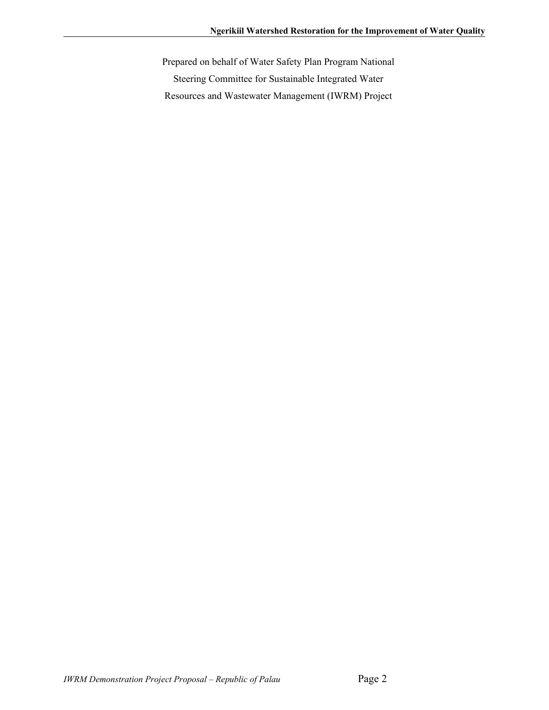Prepared on behalf of Water Safety Plan Program National Steering Committee for Sustainable Integrated Water Resources and Wastewater Management (IWRM) Project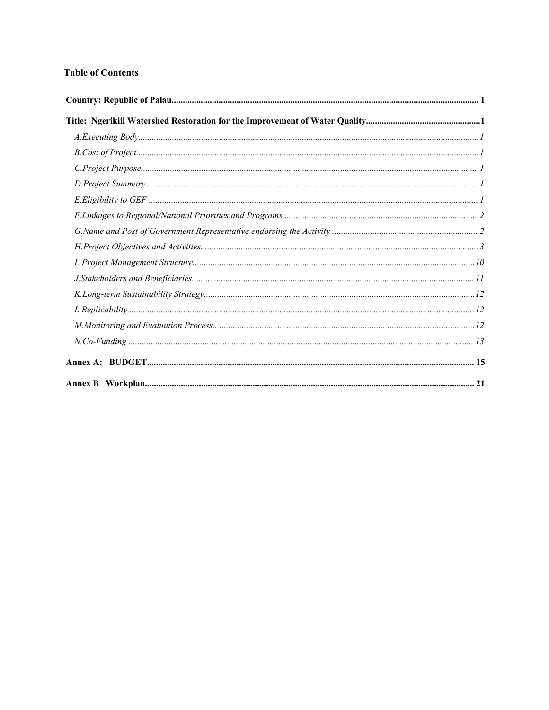#### **Table of Contents**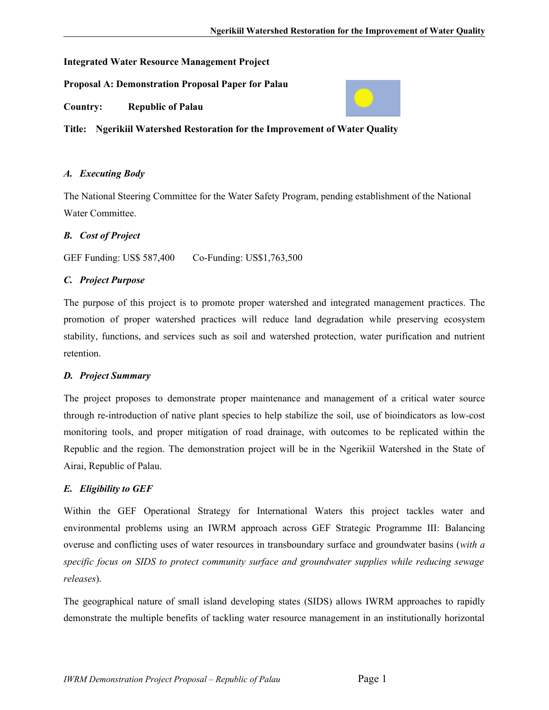#### **Integrated Water Resource Management Project**

**Proposal A: Demonstration Proposal Paper for Palau**

**Country: Republic of Palau**



**Title: Ngerikiil Watershed Restoration for the Improvement of Water Quality**

#### *A. Executing Body*

The National Steering Committee for the Water Safety Program, pending establishment of the National Water Committee.

#### *B. Cost of Project*

GEF Funding: US\$ 587,400 Co-Funding: US\$1,763,500

#### *C. Project Purpose*

The purpose of this project is to promote proper watershed and integrated management practices. The promotion of proper watershed practices will reduce land degradation while preserving ecosystem stability, functions, and services such as soil and watershed protection, water purification and nutrient retention.

### *D. Project Summary*

The project proposes to demonstrate proper maintenance and management of a critical water source through re-introduction of native plant species to help stabilize the soil, use of bioindicators as low-cost monitoring tools, and proper mitigation of road drainage, with outcomes to be replicated within the Republic and the region. The demonstration project will be in the Ngerikiil Watershed in the State of Airai, Republic of Palau.

### *E. Eligibility to GEF*

Within the GEF Operational Strategy for International Waters this project tackles water and environmental problems using an IWRM approach across GEF Strategic Programme III: Balancing overuse and conflicting uses of water resources in transboundary surface and groundwater basins (*with a specific focus on SIDS to protect community surface and groundwater supplies while reducing sewage releases*).

The geographical nature of small island developing states (SIDS) allows IWRM approaches to rapidly demonstrate the multiple benefits of tackling water resource management in an institutionally horizontal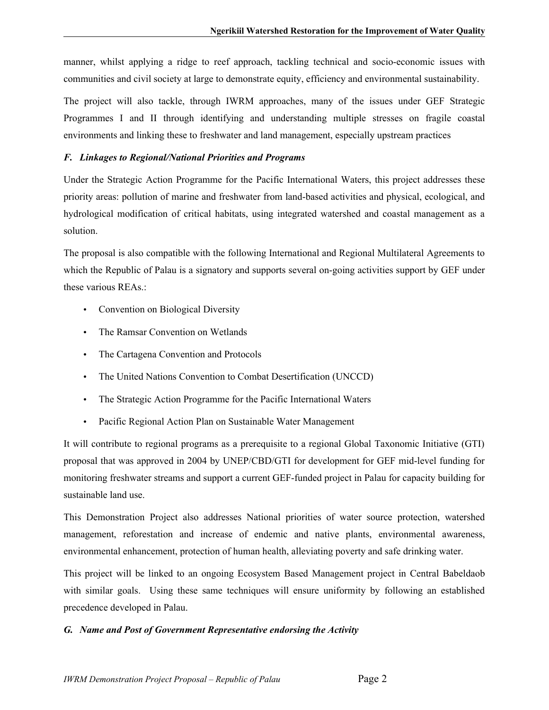manner, whilst applying a ridge to reef approach, tackling technical and socio-economic issues with communities and civil society at large to demonstrate equity, efficiency and environmental sustainability.

The project will also tackle, through IWRM approaches, many of the issues under GEF Strategic Programmes I and II through identifying and understanding multiple stresses on fragile coastal environments and linking these to freshwater and land management, especially upstream practices

#### *F. Linkages to Regional/National Priorities and Programs*

Under the Strategic Action Programme for the Pacific International Waters, this project addresses these priority areas: pollution of marine and freshwater from land-based activities and physical, ecological, and hydrological modification of critical habitats, using integrated watershed and coastal management as a solution.

The proposal is also compatible with the following International and Regional Multilateral Agreements to which the Republic of Palau is a signatory and supports several on-going activities support by GEF under these various REAs.:

- Convention on Biological Diversity
- The Ramsar Convention on Wetlands
- The Cartagena Convention and Protocols
- The United Nations Convention to Combat Desertification (UNCCD)
- The Strategic Action Programme for the Pacific International Waters
- Pacific Regional Action Plan on Sustainable Water Management

It will contribute to regional programs as a prerequisite to a regional Global Taxonomic Initiative (GTI) proposal that was approved in 2004 by UNEP/CBD/GTI for development for GEF mid-level funding for monitoring freshwater streams and support a current GEF-funded project in Palau for capacity building for sustainable land use.

This Demonstration Project also addresses National priorities of water source protection, watershed management, reforestation and increase of endemic and native plants, environmental awareness, environmental enhancement, protection of human health, alleviating poverty and safe drinking water.

This project will be linked to an ongoing Ecosystem Based Management project in Central Babeldaob with similar goals. Using these same techniques will ensure uniformity by following an established precedence developed in Palau.

#### *G. Name and Post of Government Representative endorsing the Activity*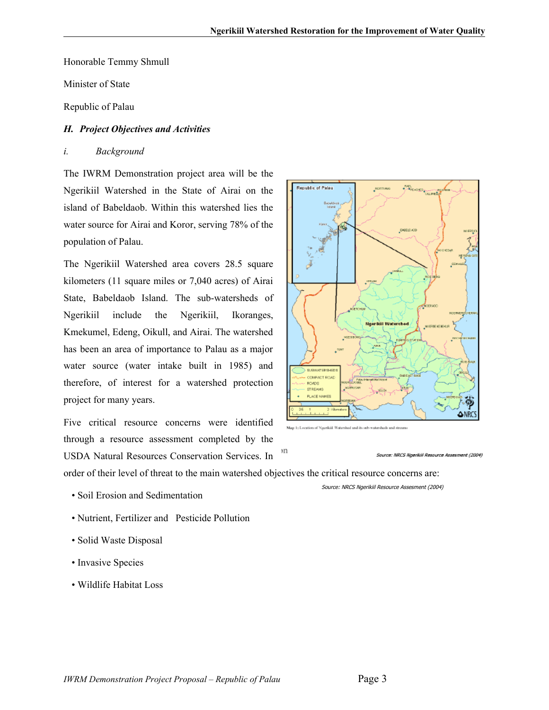**Republic of Palau** 

Honorable Temmy Shmull

Minister of State

Republic of Palau

#### *H. Project Objectives and Activities*

#### *i. Background*

The IWRM Demonstration project area will be the Ngerikiil Watershed in the State of Airai on the island of Babeldaob. Within this watershed lies the water source for Airai and Koror, serving 78% of the population of Palau.

The Ngerikiil Watershed area covers 28.5 square kilometers (11 square miles or 7,040 acres) of Airai State, Babeldaob Island. The sub-watersheds of Ngerikiil include the Ngerikiil, Ikoranges, Kmekumel, Edeng, Oikull, and Airai. The watershed has been an area of importance to Palau as a major water source (water intake built in 1985) and therefore, of interest for a watershed protection project for many years.

Five critical resource concerns were identified through a resource assessment completed by the USDA Natural Resources Conservation Services. In



BABELO AOS

Map 1: Location of Naerikiil Watershed and its sub-watersheds and st

Source: NRCS Ngerikil Resource Assesment (2004)

order of their level of threat to the main watershed objectives the critical resource concerns are:

λIJ

- Soil Erosion and Sedimentation
- Nutrient, Fertilizer and Pesticide Pollution
- Solid Waste Disposal
- Invasive Species
- Wildlife Habitat Loss

Source: NRCS Ngerikiil Resource Assesment (2004)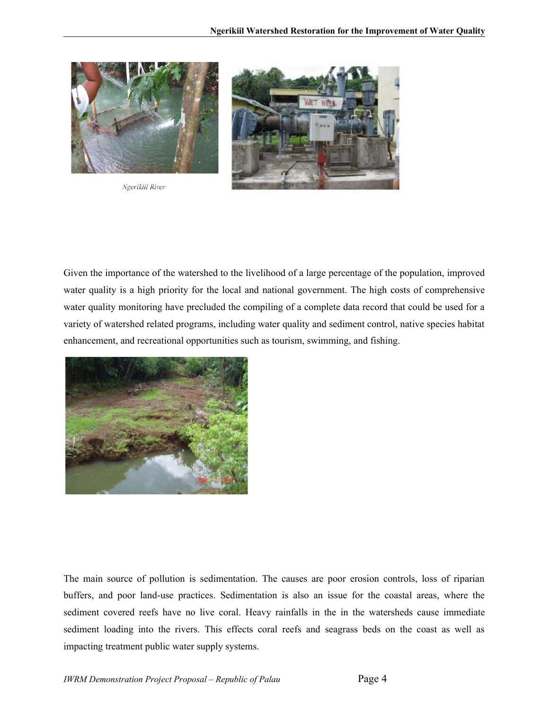

Ngerikiil River



Given the importance of the watershed to the livelihood of a large percentage of the population, improved water quality is a high priority for the local and national government. The high costs of comprehensive water quality monitoring have precluded the compiling of a complete data record that could be used for a variety of watershed related programs, including water quality and sediment control, native species habitat enhancement, and recreational opportunities such as tourism, swimming, and fishing.



The main source of pollution is sedimentation. The causes are poor erosion controls, loss of riparian buffers, and poor land-use practices. Sedimentation is also an issue for the coastal areas, where the sediment covered reefs have no live coral. Heavy rainfalls in the in the watersheds cause immediate sediment loading into the rivers. This effects coral reefs and seagrass beds on the coast as well as impacting treatment public water supply systems.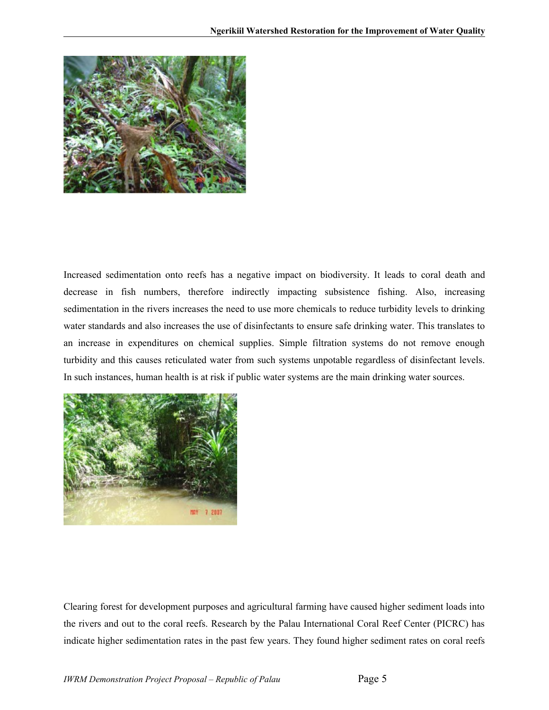

Increased sedimentation onto reefs has a negative impact on biodiversity. It leads to coral death and decrease in fish numbers, therefore indirectly impacting subsistence fishing. Also, increasing sedimentation in the rivers increases the need to use more chemicals to reduce turbidity levels to drinking water standards and also increases the use of disinfectants to ensure safe drinking water. This translates to an increase in expenditures on chemical supplies. Simple filtration systems do not remove enough turbidity and this causes reticulated water from such systems unpotable regardless of disinfectant levels. In such instances, human health is at risk if public water systems are the main drinking water sources.



Clearing forest for development purposes and agricultural farming have caused higher sediment loads into the rivers and out to the coral reefs. Research by the Palau International Coral Reef Center (PICRC) has indicate higher sedimentation rates in the past few years. They found higher sediment rates on coral reefs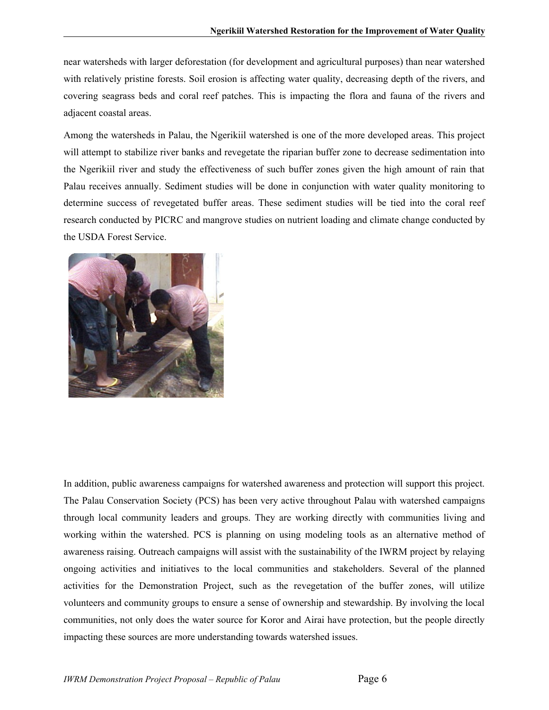near watersheds with larger deforestation (for development and agricultural purposes) than near watershed with relatively pristine forests. Soil erosion is affecting water quality, decreasing depth of the rivers, and covering seagrass beds and coral reef patches. This is impacting the flora and fauna of the rivers and adjacent coastal areas.

Among the watersheds in Palau, the Ngerikiil watershed is one of the more developed areas. This project will attempt to stabilize river banks and revegetate the riparian buffer zone to decrease sedimentation into the Ngerikiil river and study the effectiveness of such buffer zones given the high amount of rain that Palau receives annually. Sediment studies will be done in conjunction with water quality monitoring to determine success of revegetated buffer areas. These sediment studies will be tied into the coral reef research conducted by PICRC and mangrove studies on nutrient loading and climate change conducted by the USDA Forest Service.



In addition, public awareness campaigns for watershed awareness and protection will support this project. The Palau Conservation Society (PCS) has been very active throughout Palau with watershed campaigns through local community leaders and groups. They are working directly with communities living and working within the watershed. PCS is planning on using modeling tools as an alternative method of awareness raising. Outreach campaigns will assist with the sustainability of the IWRM project by relaying ongoing activities and initiatives to the local communities and stakeholders. Several of the planned activities for the Demonstration Project, such as the revegetation of the buffer zones, will utilize volunteers and community groups to ensure a sense of ownership and stewardship. By involving the local communities, not only does the water source for Koror and Airai have protection, but the people directly impacting these sources are more understanding towards watershed issues.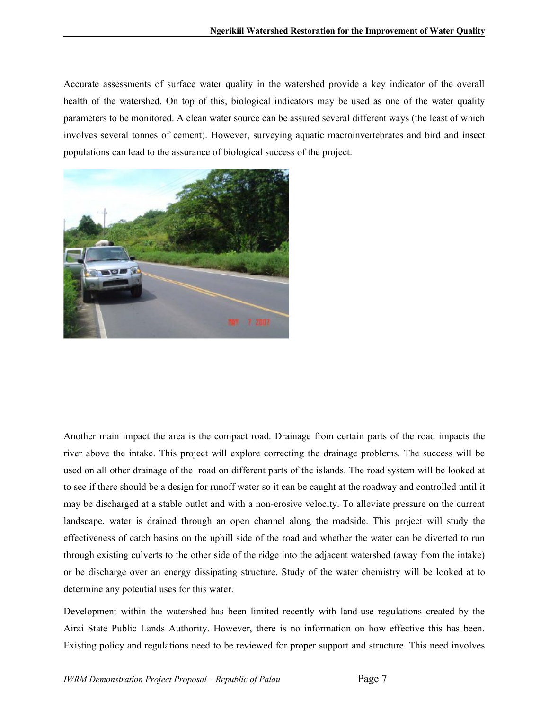Accurate assessments of surface water quality in the watershed provide a key indicator of the overall health of the watershed. On top of this, biological indicators may be used as one of the water quality parameters to be monitored. A clean water source can be assured several different ways (the least of which involves several tonnes of cement). However, surveying aquatic macroinvertebrates and bird and insect populations can lead to the assurance of biological success of the project.



Another main impact the area is the compact road. Drainage from certain parts of the road impacts the river above the intake. This project will explore correcting the drainage problems. The success will be used on all other drainage of the road on different parts of the islands. The road system will be looked at to see if there should be a design for runoff water so it can be caught at the roadway and controlled until it may be discharged at a stable outlet and with a non-erosive velocity. To alleviate pressure on the current landscape, water is drained through an open channel along the roadside. This project will study the effectiveness of catch basins on the uphill side of the road and whether the water can be diverted to run through existing culverts to the other side of the ridge into the adjacent watershed (away from the intake) or be discharge over an energy dissipating structure. Study of the water chemistry will be looked at to determine any potential uses for this water.

Development within the watershed has been limited recently with land-use regulations created by the Airai State Public Lands Authority. However, there is no information on how effective this has been. Existing policy and regulations need to be reviewed for proper support and structure. This need involves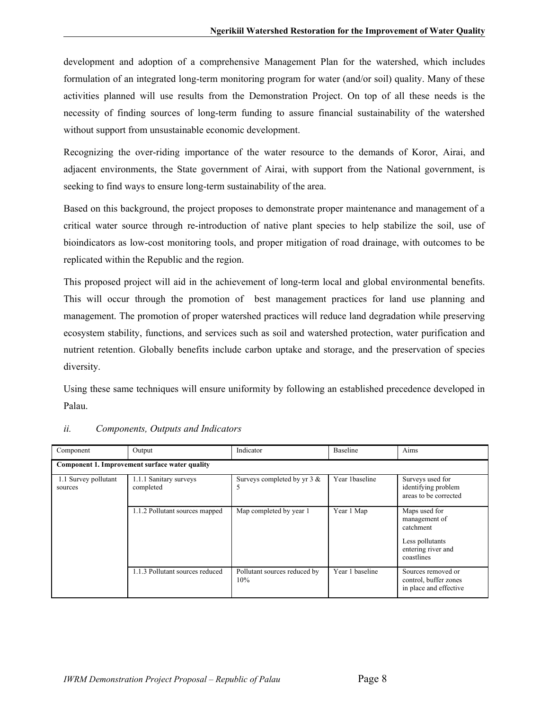development and adoption of a comprehensive Management Plan for the watershed, which includes formulation of an integrated long-term monitoring program for water (and/or soil) quality. Many of these activities planned will use results from the Demonstration Project. On top of all these needs is the necessity of finding sources of long-term funding to assure financial sustainability of the watershed without support from unsustainable economic development.

Recognizing the over-riding importance of the water resource to the demands of Koror, Airai, and adjacent environments, the State government of Airai, with support from the National government, is seeking to find ways to ensure long-term sustainability of the area.

Based on this background, the project proposes to demonstrate proper maintenance and management of a critical water source through re-introduction of native plant species to help stabilize the soil, use of bioindicators as low-cost monitoring tools, and proper mitigation of road drainage, with outcomes to be replicated within the Republic and the region.

This proposed project will aid in the achievement of long-term local and global environmental benefits. This will occur through the promotion of best management practices for land use planning and management. The promotion of proper watershed practices will reduce land degradation while preserving ecosystem stability, functions, and services such as soil and watershed protection, water purification and nutrient retention. Globally benefits include carbon uptake and storage, and the preservation of species diversity.

Using these same techniques will ensure uniformity by following an established precedence developed in Palau.

| Component                       | Output                                         | Indicator                           | Baseline        | Aims                                                                                               |
|---------------------------------|------------------------------------------------|-------------------------------------|-----------------|----------------------------------------------------------------------------------------------------|
|                                 | Component 1. Improvement surface water quality |                                     |                 |                                                                                                    |
| 1.1 Survey pollutant<br>sources | 1.1.1 Sanitary surveys<br>completed            | Surveys completed by yr $3 &$<br>C  | Year 1baseline  | Surveys used for<br>identifying problem<br>areas to be corrected                                   |
|                                 | 1.1.2 Pollutant sources mapped                 | Map completed by year 1             | Year 1 Map      | Maps used for<br>management of<br>catchment<br>Less pollutants<br>entering river and<br>coastlines |
|                                 | 1.1.3 Pollutant sources reduced                | Pollutant sources reduced by<br>10% | Year 1 baseline | Sources removed or<br>control, buffer zones<br>in place and effective                              |

#### *ii. Components, Outputs and Indicators*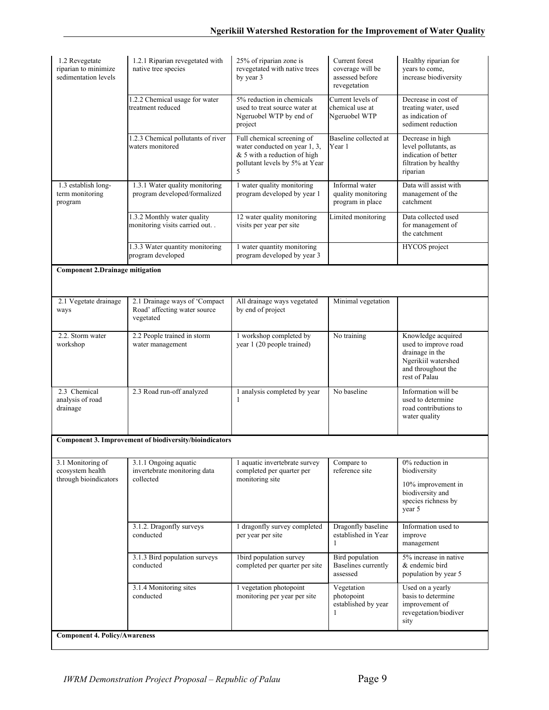| 1.2 Revegetate<br>riparian to minimize<br>sedimentation levels | 1.2.1 Riparian revegetated with<br>native tree species                     | 25% of riparian zone is<br>revegetated with native trees<br>by year 3                                                              | Current forest<br>coverage will be<br>assessed before<br>revegetation | Healthy riparian for<br>years to come,<br>increase biodiversity                                                             |
|----------------------------------------------------------------|----------------------------------------------------------------------------|------------------------------------------------------------------------------------------------------------------------------------|-----------------------------------------------------------------------|-----------------------------------------------------------------------------------------------------------------------------|
|                                                                | 1.2.2 Chemical usage for water<br>treatment reduced                        | 5% reduction in chemicals<br>used to treat source water at<br>Ngeruobel WTP by end of<br>project                                   | Current levels of<br>chemical use at<br>Ngeruobel WTP                 | Decrease in cost of<br>treating water, used<br>as indication of<br>sediment reduction                                       |
|                                                                | 1.2.3 Chemical pollutants of river<br>waters monitored                     | Full chemical screening of<br>water conducted on year 1, 3,<br>& 5 with a reduction of high<br>pollutant levels by 5% at Year<br>5 | Baseline collected at<br>Year 1                                       | Decrease in high<br>level pollutants, as<br>indication of better<br>filtration by healthy<br>riparian                       |
| 1.3 establish long-<br>term monitoring<br>program              | 1.3.1 Water quality monitoring<br>program developed/formalized             | 1 water quality monitoring<br>program developed by year 1                                                                          | Informal water<br>quality monitoring<br>program in place              | Data will assist with<br>management of the<br>catchment                                                                     |
|                                                                | 1.3.2 Monthly water quality<br>monitoring visits carried out. .            | 12 water quality monitoring<br>visits per year per site                                                                            | Limited monitoring                                                    | Data collected used<br>for management of<br>the catchment                                                                   |
|                                                                | 1.3.3 Water quantity monitoring<br>program developed                       | 1 water quantity monitoring<br>program developed by year 3                                                                         |                                                                       | HYCOS project                                                                                                               |
| <b>Component 2.Drainage mitigation</b>                         |                                                                            |                                                                                                                                    |                                                                       |                                                                                                                             |
| 2.1 Vegetate drainage<br>ways                                  | 2.1 Drainage ways of 'Compact<br>Road' affecting water source<br>vegetated | All drainage ways vegetated<br>by end of project                                                                                   | Minimal vegetation                                                    |                                                                                                                             |
| 2.2. Storm water<br>workshop                                   | 2.2 People trained in storm<br>water management                            | 1 workshop completed by<br>year 1 (20 people trained)                                                                              | No training                                                           | Knowledge acquired<br>used to improve road<br>drainage in the<br>Ngerikiil watershed<br>and throughout the<br>rest of Palau |
| 2.3 Chemical<br>analysis of road<br>drainage                   | 2.3 Road run-off analyzed                                                  | 1 analysis completed by year<br>1                                                                                                  | No baseline                                                           | Information will be<br>used to determine<br>road contributions to<br>water quality                                          |
|                                                                | Component 3. Improvement of biodiversity/bioindicators                     |                                                                                                                                    |                                                                       |                                                                                                                             |
| 3.1 Monitoring of<br>ecosystem health<br>through bioindicators | 3.1.1 Ongoing aquatic<br>invertebrate monitoring data<br>collected         | 1 aquatic invertebrate survey<br>completed per quarter per<br>monitoring site                                                      | Compare to<br>reference site                                          | 0% reduction in<br>biodiversity<br>10% improvement in<br>biodiversity and<br>species richness by<br>year 5                  |
|                                                                | 3.1.2. Dragonfly surveys<br>conducted                                      | 1 dragonfly survey completed<br>per year per site                                                                                  | Dragonfly baseline<br>established in Year<br>1                        | Information used to<br>improve<br>management                                                                                |
|                                                                | 3.1.3 Bird population surveys<br>conducted                                 | Ibird population survey<br>completed per quarter per site                                                                          | <b>Bird</b> population<br><b>Baselines</b> currently<br>assessed      | 5% increase in native<br>& endemic bird<br>population by year 5                                                             |
|                                                                | 3.1.4 Monitoring sites<br>conducted                                        | 1 vegetation photopoint<br>monitoring per year per site                                                                            | Vegetation<br>photopoint<br>established by year<br>1                  | Used on a yearly<br>basis to determine<br>improvement of<br>revegetation/biodiver<br>sity                                   |
| <b>Component 4. Policy/Awareness</b>                           |                                                                            |                                                                                                                                    |                                                                       |                                                                                                                             |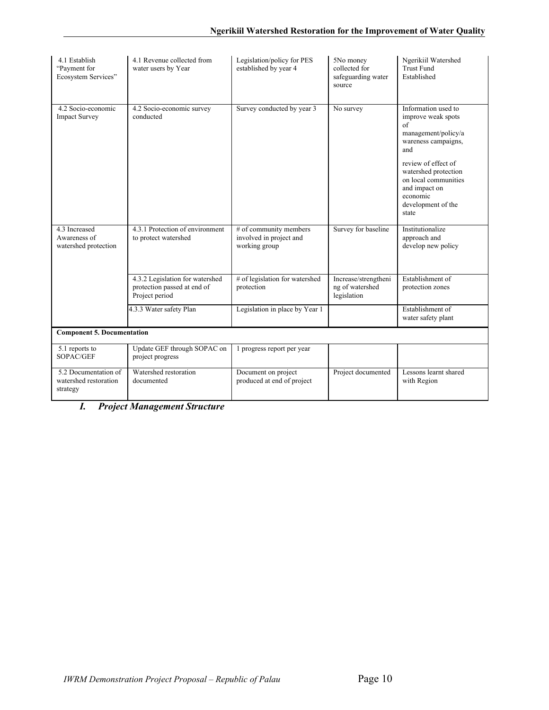| 4.1 Establish<br>"Payment for<br>Ecosystem Services"      | 4.1 Revenue collected from<br>water users by Year                                | Legislation/policy for PES<br>established by year 4                | 5No money<br>collected for<br>safeguarding water<br>source | Ngerikiil Watershed<br><b>Trust Fund</b><br>Established                                                                                                                                                                                 |
|-----------------------------------------------------------|----------------------------------------------------------------------------------|--------------------------------------------------------------------|------------------------------------------------------------|-----------------------------------------------------------------------------------------------------------------------------------------------------------------------------------------------------------------------------------------|
| 4.2 Socio-economic<br><b>Impact Survey</b>                | 4.2 Socio-economic survey<br>conducted                                           | Survey conducted by year 3                                         | No survey                                                  | Information used to<br>improve weak spots<br>of<br>management/policy/a<br>wareness campaigns,<br>and<br>review of effect of<br>watershed protection<br>on local communities<br>and impact on<br>economic<br>development of the<br>state |
| 4.3 Increased<br>Awareness of<br>watershed protection     | 4.3.1 Protection of environment<br>to protect watershed                          | # of community members<br>involved in project and<br>working group | Survey for baseline                                        | Institutionalize<br>approach and<br>develop new policy                                                                                                                                                                                  |
|                                                           | 4.3.2 Legislation for watershed<br>protection passed at end of<br>Project period | # of legislation for watershed<br>protection                       | Increase/strengtheni<br>ng of watershed<br>legislation     | Establishment of<br>protection zones                                                                                                                                                                                                    |
|                                                           | 4.3.3 Water safety Plan                                                          | Legislation in place by Year 1                                     |                                                            | Establishment of<br>water safety plant                                                                                                                                                                                                  |
| <b>Component 5. Documentation</b>                         |                                                                                  |                                                                    |                                                            |                                                                                                                                                                                                                                         |
| 5.1 reports to<br>SOPAC/GEF                               | Update GEF through SOPAC on<br>project progress                                  | 1 progress report per year                                         |                                                            |                                                                                                                                                                                                                                         |
| 5.2 Documentation of<br>watershed restoration<br>strategy | Watershed restoration<br>documented                                              | Document on project<br>produced at end of project                  | Project documented                                         | Lessons learnt shared<br>with Region                                                                                                                                                                                                    |

*I. Project Management Structure*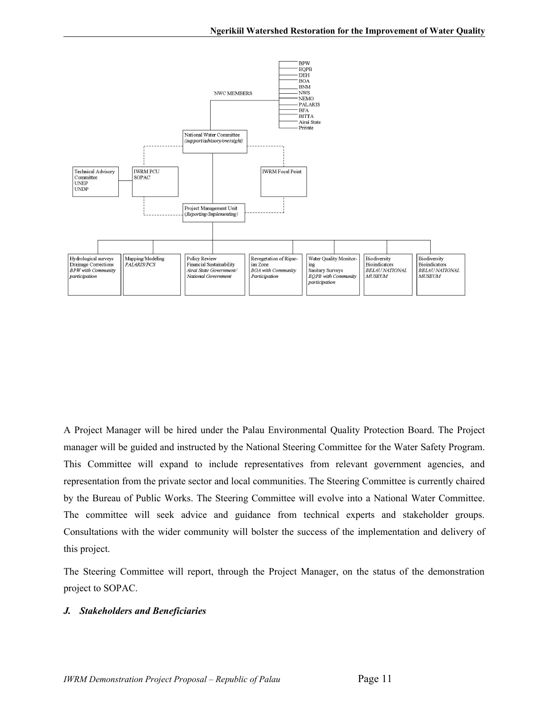

A Project Manager will be hired under the Palau Environmental Quality Protection Board. The Project manager will be guided and instructed by the National Steering Committee for the Water Safety Program. This Committee will expand to include representatives from relevant government agencies, and representation from the private sector and local communities. The Steering Committee is currently chaired by the Bureau of Public Works. The Steering Committee will evolve into a National Water Committee. The committee will seek advice and guidance from technical experts and stakeholder groups. Consultations with the wider community will bolster the success of the implementation and delivery of this project.

The Steering Committee will report, through the Project Manager, on the status of the demonstration project to SOPAC.

#### *J. Stakeholders and Beneficiaries*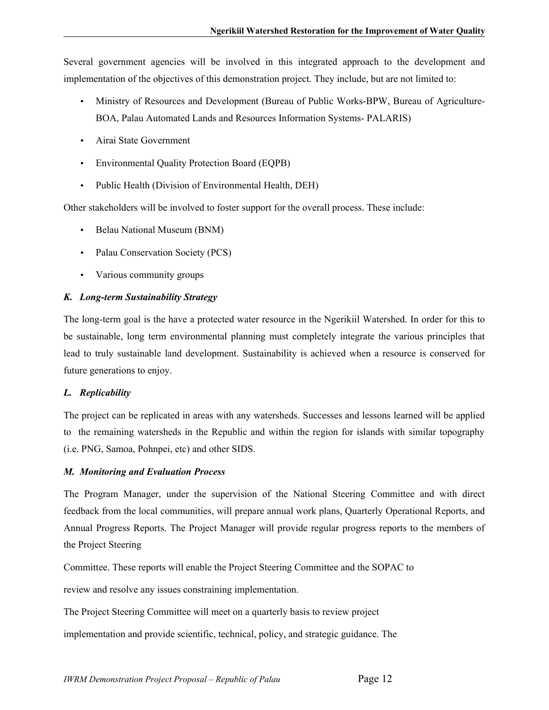Several government agencies will be involved in this integrated approach to the development and implementation of the objectives of this demonstration project. They include, but are not limited to:

- Ministry of Resources and Development (Bureau of Public Works-BPW, Bureau of Agriculture-BOA, Palau Automated Lands and Resources Information Systems- PALARIS)
- Airai State Government
- Environmental Quality Protection Board (EQPB)
- Public Health (Division of Environmental Health, DEH)

Other stakeholders will be involved to foster support for the overall process. These include:

- Belau National Museum (BNM)
- Palau Conservation Society (PCS)
- Various community groups

#### *K. Long-term Sustainability Strategy*

The long-term goal is the have a protected water resource in the Ngerikiil Watershed. In order for this to be sustainable, long term environmental planning must completely integrate the various principles that lead to truly sustainable land development. Sustainability is achieved when a resource is conserved for future generations to enjoy.

#### *L. Replicability*

The project can be replicated in areas with any watersheds. Successes and lessons learned will be applied to the remaining watersheds in the Republic and within the region for islands with similar topography (i.e. PNG, Samoa, Pohnpei, etc) and other SIDS.

### *M. Monitoring and Evaluation Process*

The Program Manager, under the supervision of the National Steering Committee and with direct feedback from the local communities, will prepare annual work plans, Quarterly Operational Reports, and Annual Progress Reports. The Project Manager will provide regular progress reports to the members of the Project Steering

Committee. These reports will enable the Project Steering Committee and the SOPAC to

review and resolve any issues constraining implementation.

The Project Steering Committee will meet on a quarterly basis to review project

implementation and provide scientific, technical, policy, and strategic guidance. The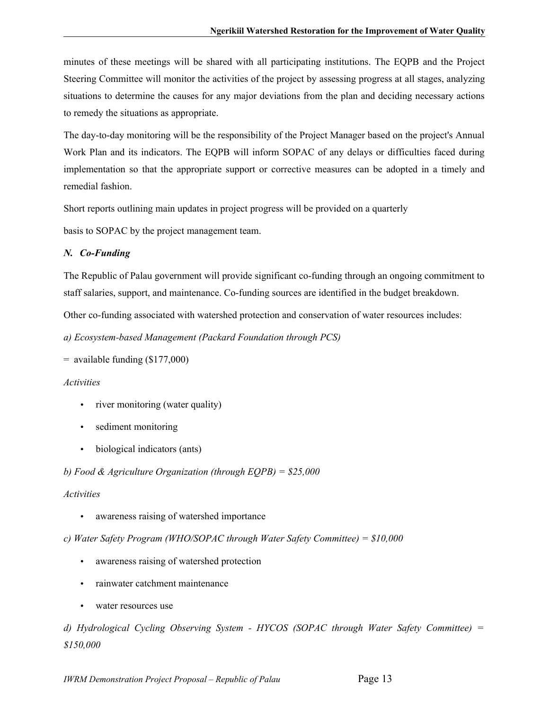minutes of these meetings will be shared with all participating institutions. The EQPB and the Project Steering Committee will monitor the activities of the project by assessing progress at all stages, analyzing situations to determine the causes for any major deviations from the plan and deciding necessary actions to remedy the situations as appropriate.

The day-to-day monitoring will be the responsibility of the Project Manager based on the project's Annual Work Plan and its indicators. The EQPB will inform SOPAC of any delays or difficulties faced during implementation so that the appropriate support or corrective measures can be adopted in a timely and remedial fashion.

Short reports outlining main updates in project progress will be provided on a quarterly

basis to SOPAC by the project management team.

#### *N. Co-Funding*

The Republic of Palau government will provide significant co-funding through an ongoing commitment to staff salaries, support, and maintenance. Co-funding sources are identified in the budget breakdown.

Other co-funding associated with watershed protection and conservation of water resources includes:

*a) Ecosystem-based Management (Packard Foundation through PCS)*

```
= available funding (\$177,000)
```
#### *Activities*

- river monitoring (water quality)
- sediment monitoring
- biological indicators (ants)

*b) Food & Agriculture Organization (through EQPB) = \$25,000*

#### *Activities*

awareness raising of watershed importance

*c) Water Safety Program (WHO/SOPAC through Water Safety Committee) = \$10,000*

- awareness raising of watershed protection
- rainwater catchment maintenance
- water resources use

*d) Hydrological Cycling Observing System - HYCOS (SOPAC through Water Safety Committee) = \$150,000*

*IWRM Demonstration Project Proposal – Republic of Palau* Page 13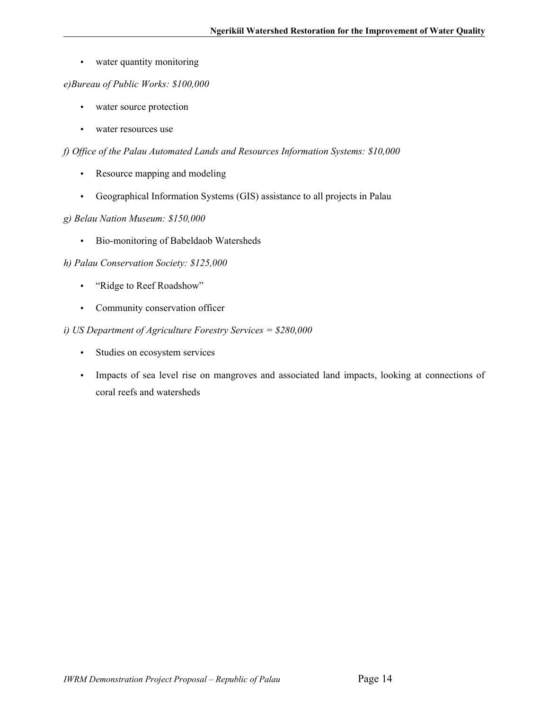• water quantity monitoring

#### *e)Bureau of Public Works: \$100,000*

- water source protection
- water resources use

#### *f) Office of the Palau Automated Lands and Resources Information Systems: \$10,000*

- Resource mapping and modeling
- Geographical Information Systems (GIS) assistance to all projects in Palau

#### *g) Belau Nation Museum: \$150,000*

• Bio-monitoring of Babeldaob Watersheds

#### *h) Palau Conservation Society: \$125,000*

- "Ridge to Reef Roadshow"
- Community conservation officer

#### *i) US Department of Agriculture Forestry Services = \$280,000*

- Studies on ecosystem services
- Impacts of sea level rise on mangroves and associated land impacts, looking at connections of coral reefs and watersheds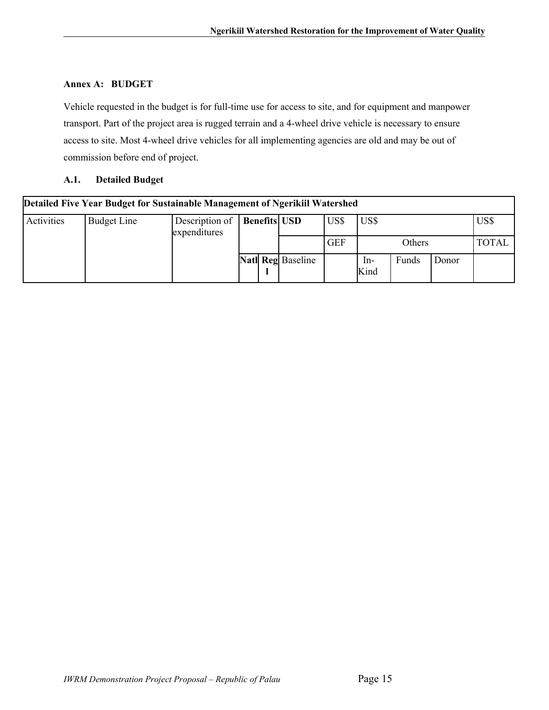## **Annex A: BUDGET**

Vehicle requested in the budget is for full-time use for access to site, and for equipment and manpower transport. Part of the project area is rugged terrain and a 4-wheel drive vehicle is necessary to ensure access to site. Most 4-wheel drive vehicles for all implementing agencies are old and may be out of commission before end of project.

### **A.1. Detailed Budget**

| Detailed Five Year Budget for Sustainable Management of Ngerikiil Watershed |             |                                |  |  |                          |            |               |              |              |      |  |  |  |
|-----------------------------------------------------------------------------|-------------|--------------------------------|--|--|--------------------------|------------|---------------|--------------|--------------|------|--|--|--|
| Activities                                                                  | Budget Line | Description of<br>expenditures |  |  | <b>Benefits</b> USD      | US\$       | US\$          |              |              | US\$ |  |  |  |
|                                                                             |             |                                |  |  |                          | <b>GEF</b> |               | Others       | <b>TOTAL</b> |      |  |  |  |
|                                                                             |             |                                |  |  | <b>Natl Reg Baseline</b> |            | $In-$<br>Kind | <b>Funds</b> | Donor        |      |  |  |  |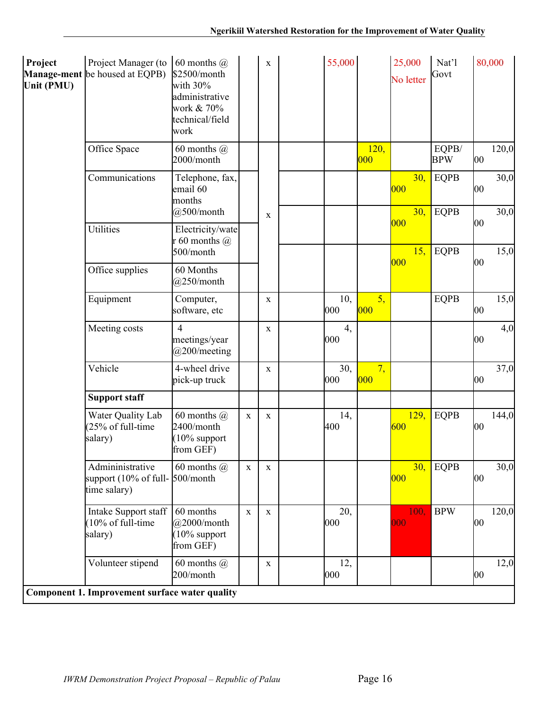| Project<br>Unit (PMU) | Project Manager (to<br><b>Manage-ment</b> be housed at EQPB) | 60 months $\omega$<br>\$2500/month<br>with $30\%$<br>administrative<br>work & 70%<br>technical/field<br>work |             | $\mathbf X$  | 55,000      |              | 25,000<br>No letter | Nat'l<br>Govt       |    | 80,000 |
|-----------------------|--------------------------------------------------------------|--------------------------------------------------------------------------------------------------------------|-------------|--------------|-------------|--------------|---------------------|---------------------|----|--------|
|                       | Office Space                                                 | 60 months $(a)$<br>2000/month                                                                                |             |              |             | 120,<br> 000 |                     | EQPB/<br><b>BPW</b> | 00 | 120,0  |
|                       | Communications                                               | Telephone, fax,<br>email 60<br>months                                                                        |             |              |             |              | 30,<br> 000         | <b>EQPB</b>         | 00 | 30,0   |
|                       | <b>Utilities</b>                                             | @500/month<br>Electricity/wate<br>r 60 months $\omega$                                                       |             | $\mathbf X$  |             |              | 30,<br>000          | <b>EQPB</b>         | 00 | 30,0   |
|                       |                                                              | 500/month                                                                                                    |             |              |             |              | 15,                 | <b>EQPB</b>         |    | 15,0   |
|                       | Office supplies                                              | 60 Months<br>@250/month                                                                                      |             |              |             |              | 000                 |                     | 00 |        |
|                       | Equipment                                                    | Computer,<br>software, etc                                                                                   |             | $\mathbf X$  | 10,<br> 000 | 5,<br> 000   |                     | <b>EQPB</b>         | 00 | 15,0   |
|                       | Meeting costs                                                | $\overline{4}$<br>meetings/year<br>@200/meeting                                                              |             | X            | 4,<br> 000  |              |                     |                     | 00 | 4,0    |
|                       | Vehicle                                                      | 4-wheel drive<br>pick-up truck                                                                               |             | X            | 30,<br> 000 | 7,<br> 000   |                     |                     | 00 | 37,0   |
|                       | <b>Support staff</b>                                         |                                                                                                              |             |              |             |              |                     |                     |    |        |
|                       | Water Quality Lab<br>(25% of full-time<br>salary)            | 60 months $(a)$<br>2400/month<br>$(10\%$ support<br>from GEF)                                                | $\mathbf X$ | X            | 14,<br>400  |              | 129,<br>600         | <b>EQPB</b>         | 00 | 144,0  |
|                       | Admininistrative<br>support (10% of full-<br>time salary)    | 60 months $(a)$<br>500/month                                                                                 | $\mathbf X$ | $\mathbf X$  |             |              | 30,<br> 000         | <b>EQPB</b>         | 00 | 30,0   |
|                       | Intake Support staff<br>(10% of full-time<br>salary)         | 60 months<br>$@2000/m$ onth<br>$(10\%$ support<br>from GEF)                                                  | $\mathbf X$ | $\mathbf{X}$ | 20,<br> 000 |              | 100,<br>000         | <b>BPW</b>          | 00 | 120,0  |
|                       | Volunteer stipend                                            | 60 months $(a)$<br>200/month                                                                                 |             | $\mathbf X$  | 12,<br> 000 |              |                     |                     | 00 | 12,0   |
|                       | Component 1. Improvement surface water quality               |                                                                                                              |             |              |             |              |                     |                     |    |        |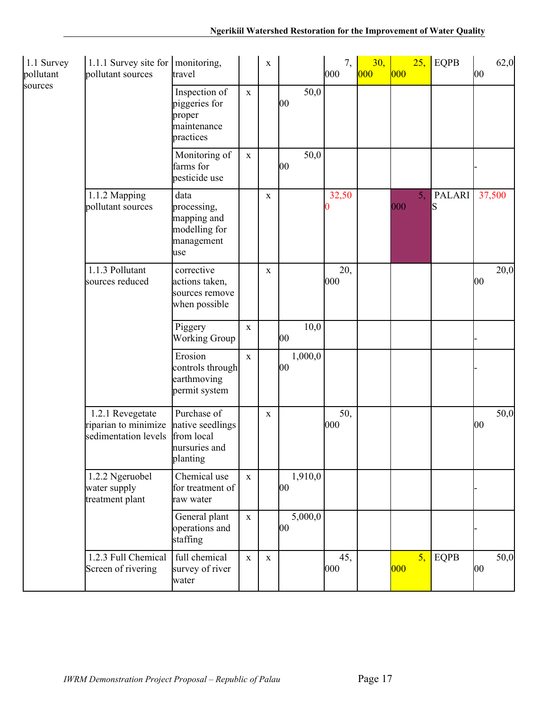| 1.1 Survey<br>pollutant | 1.1.1 Survey site for $ $ monitoring,<br>pollutant sources       | travel                                                                     |             | $\mathbf X$ |    |         | 7,<br>000   | 30,<br> 000 | 000 | 25, | <b>EQPB</b>        | 00           | 62,0   |
|-------------------------|------------------------------------------------------------------|----------------------------------------------------------------------------|-------------|-------------|----|---------|-------------|-------------|-----|-----|--------------------|--------------|--------|
| sources                 |                                                                  | Inspection of<br>piggeries for<br>proper<br>maintenance<br>practices       | $\mathbf X$ |             | 00 | 50,0    |             |             |     |     |                    |              |        |
|                         |                                                                  | Monitoring of<br>farms for<br>pesticide use                                | $\mathbf X$ |             | 00 | 50,0    |             |             |     |     |                    |              |        |
|                         | 1.1.2 Mapping<br>pollutant sources                               | data<br>processing,<br>mapping and<br>modelling for<br>management<br>luse  |             | $\mathbf X$ |    |         | 32,50       |             | 000 | 5,  | <b>PALARI</b><br>S |              | 37,500 |
|                         | 1.1.3 Pollutant<br>sources reduced                               | corrective<br>actions taken,<br>sources remove<br>when possible            |             | X           |    |         | 20,<br>000  |             |     |     |                    | 00           | 20,0   |
|                         |                                                                  | Piggery<br><b>Working Group</b>                                            | $\mathbf X$ |             | 00 | 10,0    |             |             |     |     |                    |              |        |
|                         |                                                                  | Erosion<br>controls through<br>earthmoving<br>permit system                | $\mathbf x$ |             | 00 | 1,000,0 |             |             |     |     |                    |              |        |
|                         | 1.2.1 Revegetate<br>riparian to minimize<br>sedimentation levels | Purchase of<br>native seedlings<br>from local<br>nursuries and<br>planting |             | $\mathbf X$ |    |         | 50,<br> 000 |             |     |     |                    | $ 00\rangle$ | 50,0   |
|                         | 1.2.2 Ngeruobel<br>water supply<br>treatment plant               | Chemical use<br>for treatment of<br>raw water                              | $\mathbf X$ |             | 00 | 1,910,0 |             |             |     |     |                    |              |        |
|                         |                                                                  | General plant<br>operations and<br>staffing                                | $\mathbf X$ |             | 00 | 5,000,0 |             |             |     |     |                    |              |        |
|                         | 1.2.3 Full Chemical<br>Screen of rivering                        | full chemical<br>survey of river<br>water                                  | $\mathbf X$ | $\mathbf X$ |    |         | 45,<br>000  |             | 000 | 5,  | <b>EQPB</b>        | $ 00\rangle$ | 50,0   |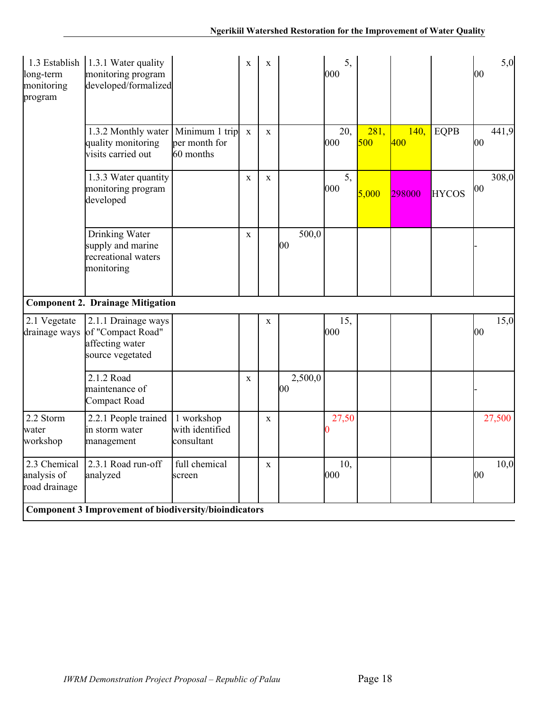| 1.3 Establish<br>long-term<br>monitoring<br>program | 1.3.1 Water quality<br>monitoring program<br>developed/formalized                |                                             | $\mathbf X$  | $\mathbf X$  |               | 5,<br>$ 000\rangle$  |             |             |              | 00 | 5,0    |
|-----------------------------------------------------|----------------------------------------------------------------------------------|---------------------------------------------|--------------|--------------|---------------|----------------------|-------------|-------------|--------------|----|--------|
|                                                     | 1.3.2 Monthly water   Minimum 1 trip<br>quality monitoring<br>visits carried out | per month for<br>60 months                  | $\mathbf X$  | $\mathbf{X}$ |               | 20,<br>$ 000\rangle$ | 281,<br>500 | 140,<br>400 | <b>EQPB</b>  | 00 | 441,9  |
|                                                     | 1.3.3 Water quantity<br>monitoring program<br>developed                          |                                             | $\mathbf X$  | $\mathbf{X}$ |               | 5,<br>$ 000\rangle$  | 5,000       | 298000      | <b>HYCOS</b> | 00 | 308,0  |
|                                                     | Drinking Water<br>supply and marine<br>recreational waters<br>monitoring         |                                             | $\mathbf{X}$ |              | 500,0<br>00   |                      |             |             |              |    |        |
|                                                     | <b>Component 2. Drainage Mitigation</b>                                          |                                             |              |              |               |                      |             |             |              |    |        |
| 2.1 Vegetate<br>drainage ways                       | 2.1.1 Drainage ways<br>of "Compact Road"<br>affecting water<br>source vegetated  |                                             |              | $\mathbf{X}$ |               | 15,<br>$ 000\rangle$ |             |             |              | 00 | 15,0   |
|                                                     | 2.1.2 Road<br>maintenance of<br>Compact Road                                     |                                             | X            |              | 2,500,0<br>00 |                      |             |             |              |    |        |
| 2.2 Storm<br>water<br>workshop                      | 2.2.1 People trained<br>in storm water<br>management                             | 1 workshop<br>with identified<br>consultant |              | $\mathbf X$  |               | 27,50                |             |             |              |    | 27,500 |
| 2.3 Chemical<br>analysis of<br>road drainage        | 2.3.1 Road run-off<br>analyzed                                                   | full chemical<br>screen                     |              | $\mathbf X$  |               | 10,<br>$ 000\rangle$ |             |             |              | 00 | 10,0   |
|                                                     | <b>Component 3 Improvement of biodiversity/bioindicators</b>                     |                                             |              |              |               |                      |             |             |              |    |        |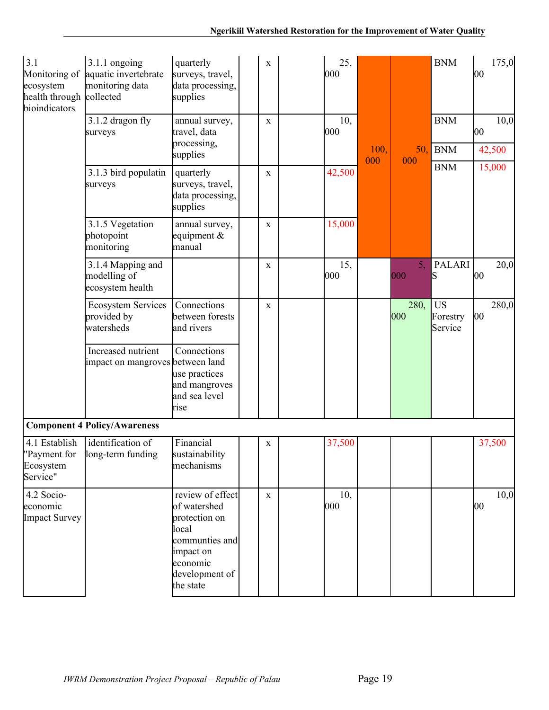| 3.1<br>Monitoring of<br>ecosystem<br>health through<br>bioindicators | $3.1.1$ ongoing<br>aquatic invertebrate<br>monitoring data<br>collected | quarterly<br>surveys, travel,<br>data processing,<br>supplies                                                                        | X            | 25,<br>000 |             |                       | <b>BNM</b>                       | 175,0<br>00           |
|----------------------------------------------------------------------|-------------------------------------------------------------------------|--------------------------------------------------------------------------------------------------------------------------------------|--------------|------------|-------------|-----------------------|----------------------------------|-----------------------|
|                                                                      | 3.1.2 dragon fly<br>surveys                                             | annual survey,<br>travel, data<br>processing,<br>supplies                                                                            | X            | 10,<br>000 | 100,<br>000 | 50,                   | <b>BNM</b><br><b>BNM</b>         | 10,0<br>00<br>42,500  |
|                                                                      | 3.1.3 bird populatin<br>surveys                                         | quarterly<br>surveys, travel,<br>data processing,<br>supplies                                                                        | X            | 42,500     |             | 000                   | <b>BNM</b>                       | 15,000                |
|                                                                      | 3.1.5 Vegetation<br>photopoint<br>monitoring                            | annual survey,<br>equipment $\&$<br>manual                                                                                           | X            | 15,000     |             |                       |                                  |                       |
|                                                                      | 3.1.4 Mapping and<br>modelling of<br>ecosystem health                   |                                                                                                                                      | X            | 15,<br>000 |             | 5 <sub>1</sub><br>000 | <b>PALARI</b><br>S               | 20,0<br>00            |
|                                                                      | <b>Ecosystem Services</b><br>provided by<br>watersheds                  | Connections<br>between forests<br>and rivers                                                                                         | X            |            |             | 280,<br>000           | <b>US</b><br>Forestry<br>Service | 280,0<br>$ 00\rangle$ |
|                                                                      | Increased nutrient<br>impact on mangroves between land                  | Connections<br>use practices<br>and mangroves<br>and sea level<br>rise                                                               |              |            |             |                       |                                  |                       |
|                                                                      | <b>Component 4 Policy/Awareness</b>                                     |                                                                                                                                      |              |            |             |                       |                                  |                       |
| 4.1 Establish<br>"Payment for<br>Ecosystem<br>Service"               | identification of<br>long-term funding                                  | Financial<br>sustainability<br>mechanisms                                                                                            | $\mathbf X$  | 37,500     |             |                       |                                  | 37,500                |
| 4.2 Socio-<br>economic<br>Impact Survey                              |                                                                         | review of effect<br>of watershed<br>protection on<br>local<br>communties and<br>impact on<br>economic<br>development of<br>the state | $\mathbf{X}$ | 10,<br>000 |             |                       |                                  | 10,0<br>00            |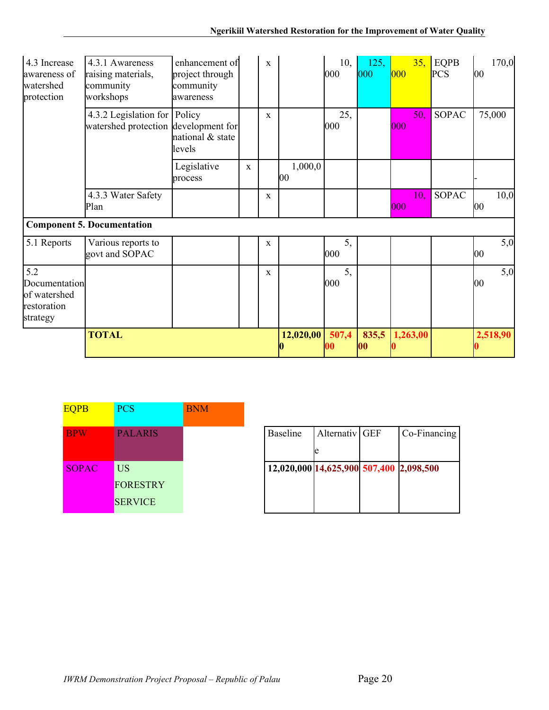| 4.3 Increase<br>awareness of<br>watershed<br>protection         | 4.3.1 Awareness<br>raising materials,<br>community<br>workshops      | enhancement of<br>project through<br>community<br>awareness |             | $\mathbf{x}$ |                   | 10,<br> 000 | 125,<br>000 | 000 | 35,      | <b>EQPB</b><br><b>PCS</b> | 00       | 170,0 |
|-----------------------------------------------------------------|----------------------------------------------------------------------|-------------------------------------------------------------|-------------|--------------|-------------------|-------------|-------------|-----|----------|---------------------------|----------|-------|
|                                                                 | 4.3.2 Legislation for Policy<br>watershed protection development for | national & state<br>levels                                  |             | $\mathbf X$  |                   | 25,<br> 000 |             | 000 | 50,      | <b>SOPAC</b>              | 75,000   |       |
|                                                                 |                                                                      | Legislative<br>process                                      | $\mathbf X$ |              | 1,000,0<br>$00\,$ |             |             |     |          |                           |          |       |
|                                                                 | 4.3.3 Water Safety<br>Plan                                           |                                                             |             | $\mathbf X$  |                   |             |             | 000 | 10,      | <b>SOPAC</b>              | 00       | 10,0  |
|                                                                 | <b>Component 5. Documentation</b>                                    |                                                             |             |              |                   |             |             |     |          |                           |          |       |
| 5.1 Reports                                                     | Various reports to<br>govt and SOPAC                                 |                                                             |             | $\mathbf X$  |                   | 5,<br> 000  |             |     |          |                           | 00       | 5,0   |
| 5.2<br>Documentation<br>of watershed<br>restoration<br>strategy |                                                                      |                                                             |             | X            |                   | 5,<br> 000  |             |     |          |                           | 00       | 5,0   |
|                                                                 | <b>TOTAL</b>                                                         |                                                             |             |              | 12,020,00         | 507,4<br>00 | 835,5<br>00 |     | 1,263,00 |                           | 2,518,90 |       |

| <b>EQPB</b>  | <b>PCS</b>      | <b>BNM</b> |                                         |                |              |
|--------------|-----------------|------------|-----------------------------------------|----------------|--------------|
| <b>BPW</b>   | <b>PALARIS</b>  |            | <b>Baseline</b>                         | Alternativ GEF | Co-Financing |
|              |                 |            |                                         | le             |              |
| <b>SOPAC</b> | <b>US</b>       |            | 12,020,000 14,625,900 507,400 2,098,500 |                |              |
|              | <b>FORESTRY</b> |            |                                         |                |              |
|              | <b>SERVICE</b>  |            |                                         |                |              |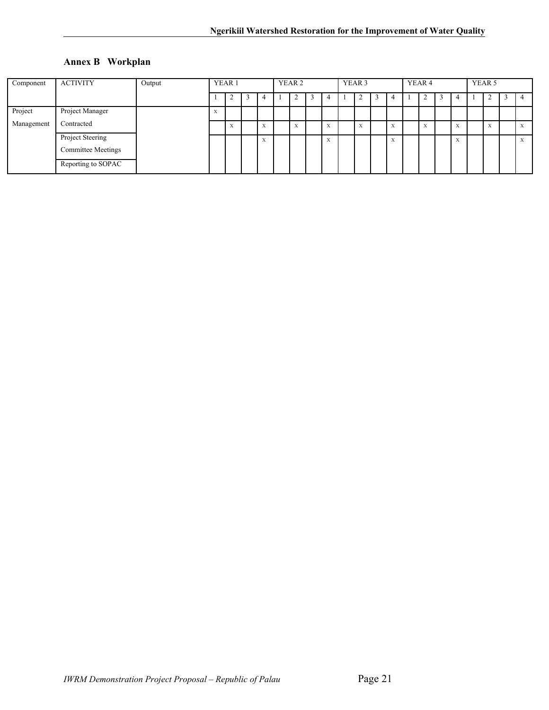## **Annex B Workplan**

| Component  | <b>ACTIVITY</b>                               | Output | YEAR 1 |  | YEAR <sub>2</sub>         |  |                  | YEAR <sub>3</sub> |                           |  | YEAR <sub>4</sub> |  |                   |  | YEAR 5                    |  |                           |  |           |  |  |
|------------|-----------------------------------------------|--------|--------|--|---------------------------|--|------------------|-------------------|---------------------------|--|-------------------|--|-------------------|--|---------------------------|--|---------------------------|--|-----------|--|--|
|            |                                               |        |        |  |                           |  |                  |                   |                           |  | Δ<br>∠            |  | 4                 |  | ∼                         |  | 4                         |  |           |  |  |
| Project    | Project Manager                               |        |        |  |                           |  |                  |                   |                           |  |                   |  |                   |  |                           |  |                           |  |           |  |  |
| Management | Contracted                                    |        | X      |  | $\mathbf{v}$<br>$\Lambda$ |  | XF.<br>$\Lambda$ |                   | ۰.<br>$\Lambda$           |  | X                 |  | $\mathbf{v}$<br>A |  | $\mathbf{x}$<br>$\Lambda$ |  | $\mathbf{v}$<br>$\Lambda$ |  | <b>XX</b> |  |  |
|            | Project Steering<br><b>Committee Meetings</b> |        |        |  | X                         |  |                  |                   | $\mathbf{v}$<br>$\Lambda$ |  |                   |  | XF.<br>A          |  |                           |  | $\mathbf{v}$<br>$\Lambda$ |  |           |  |  |
|            | Reporting to SOPAC                            |        |        |  |                           |  |                  |                   |                           |  |                   |  |                   |  |                           |  |                           |  |           |  |  |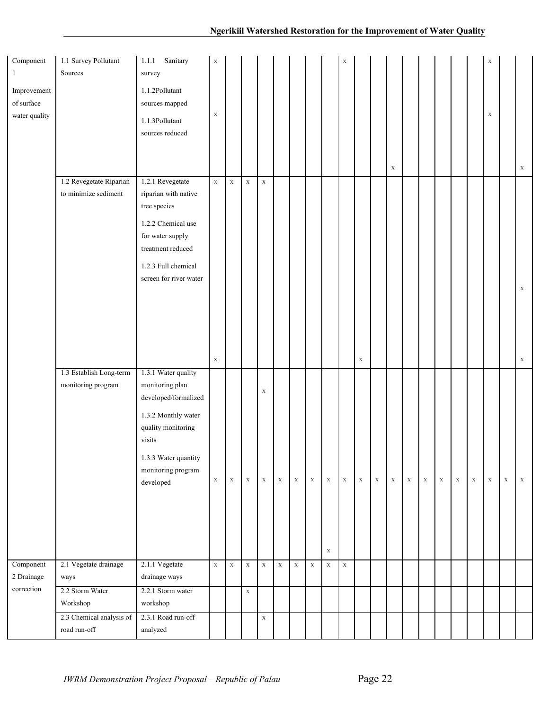| Component<br>1                             | 1.1 Survey Pollutant<br>Sources                 | Sanitary<br>1.1.1<br>survey                                                                                                                                                      | $\mathbf X$                |             |             |                            |             |             |             |                            | $\mathbf X$ |             |             |             |             |             |             |             |             | $\mathbf X$ |             |                            |
|--------------------------------------------|-------------------------------------------------|----------------------------------------------------------------------------------------------------------------------------------------------------------------------------------|----------------------------|-------------|-------------|----------------------------|-------------|-------------|-------------|----------------------------|-------------|-------------|-------------|-------------|-------------|-------------|-------------|-------------|-------------|-------------|-------------|----------------------------|
| Improvement<br>of surface<br>water quality |                                                 | 1.1.2Pollutant<br>sources mapped<br>1.1.3Pollutant<br>sources reduced                                                                                                            | $\mathbf X$                |             |             |                            |             |             |             |                            |             |             |             | $\mathbf X$ |             |             |             |             |             | $\mathbf X$ |             | $\mathbf X$                |
|                                            | 1.2 Revegetate Riparian<br>to minimize sediment | 1.2.1 Revegetate<br>riparian with native<br>tree species<br>1.2.2 Chemical use<br>for water supply<br>treatment reduced<br>1.2.3 Full chemical<br>screen for river water         | $\mathbf X$<br>$\mathbf X$ | $\mathbf X$ | $\mathbf X$ | $\mathbf X$                |             |             |             |                            |             | $\mathbf X$ |             |             |             |             |             |             |             |             |             | $\mathbf X$<br>$\mathbf X$ |
|                                            | 1.3 Establish Long-term<br>monitoring program   | 1.3.1 Water quality<br>monitoring plan<br>developed/formalized<br>1.3.2 Monthly water<br>quality monitoring<br>visits<br>1.3.3 Water quantity<br>monitoring program<br>developed | $\mathbf X$                | $\mathbf X$ | $\mathbf X$ | $\mathbf X$<br>$\mathbf X$ | $\mathbf X$ | $\mathbf X$ | $\mathbf X$ | $\mathbf X$<br>$\mathbf X$ | $\mathbf X$ | $\mathbf X$ | $\mathbf X$ | $\mathbf X$ | $\mathbf X$ | $\mathbf X$ | $\mathbf X$ | $\mathbf X$ | $\mathbf X$ | $\mathbf X$ | $\mathbf X$ | $\mathbf X$                |
| Component<br>2 Drainage                    | 2.1 Vegetate drainage<br>ways                   | 2.1.1 Vegetate<br>drainage ways                                                                                                                                                  | $\mathbf X$                | $\mathbf X$ | $\mathbf X$ | $\mathbf X$                | $\mathbf X$ | $\mathbf X$ | $\mathbf X$ | $\mathbf X$                | $\mathbf X$ |             |             |             |             |             |             |             |             |             |             |                            |
| correction                                 | 2.2 Storm Water<br>Workshop                     | 2.2.1 Storm water<br>workshop                                                                                                                                                    |                            |             | $\mathbf X$ |                            |             |             |             |                            |             |             |             |             |             |             |             |             |             |             |             |                            |
|                                            | 2.3 Chemical analysis of<br>road run-off        | 2.3.1 Road run-off<br>analyzed                                                                                                                                                   |                            |             |             | $\mathbf X$                |             |             |             |                            |             |             |             |             |             |             |             |             |             |             |             |                            |